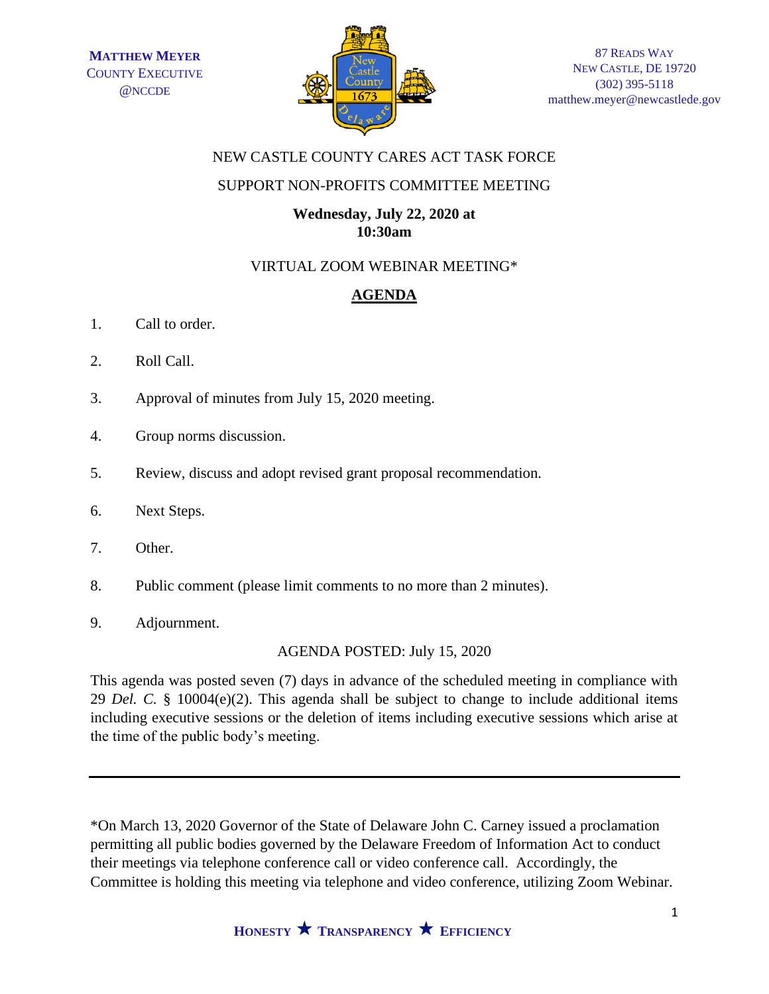

# NEW CASTLE COUNTY CARES ACT TASK FORCE

## SUPPORT NON-PROFITS COMMITTEE MEETING

## **Wednesday, July 22, 2020 at 10:30am**

# VIRTUAL ZOOM WEBINAR MEETING\*

# **AGENDA**

- 1. Call to order.
- 2. Roll Call.
- 3. Approval of minutes from July 15, 2020 meeting.
- 4. Group norms discussion.
- 5. Review, discuss and adopt revised grant proposal recommendation.
- 6. Next Steps.
- 7. Other.
- 8. Public comment (please limit comments to no more than 2 minutes).
- 9. Adjournment.

# AGENDA POSTED: July 15, 2020

This agenda was posted seven (7) days in advance of the scheduled meeting in compliance with 29 *Del. C.* § 10004(e)(2). This agenda shall be subject to change to include additional items including executive sessions or the deletion of items including executive sessions which arise at the time of the public body's meeting.

\*On March 13, 2020 Governor of the State of Delaware John C. Carney issued a proclamation permitting all public bodies governed by the Delaware Freedom of Information Act to conduct their meetings via telephone conference call or video conference call. Accordingly, the Committee is holding this meeting via telephone and video conference, utilizing Zoom Webinar.